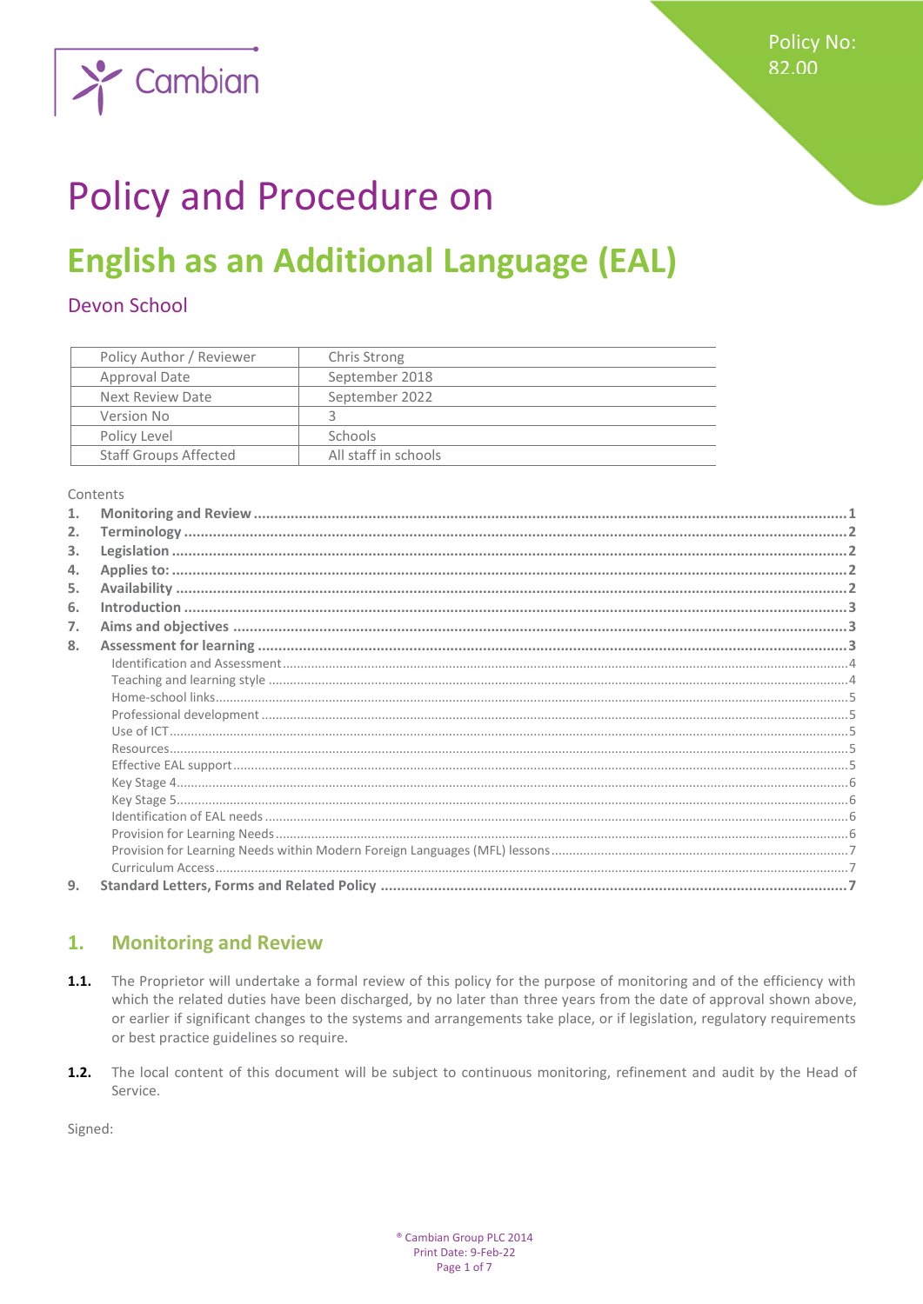

# **Policy and Procedure on**

# **English as an Additional Language (EAL)**

# **Devon School**

| Policy Author / Reviewer     | Chris Strong         |
|------------------------------|----------------------|
| Approval Date                | September 2018       |
| Next Review Date             | September 2022       |
| Version No                   |                      |
| Policy Level                 | <b>Schools</b>       |
| <b>Staff Groups Affected</b> | All staff in schools |

Contents

| 2. |  |
|----|--|
| 3. |  |
| 4. |  |
| 5. |  |
| 6. |  |
| 7. |  |
| 8. |  |
|    |  |
|    |  |
|    |  |
|    |  |
|    |  |
|    |  |
|    |  |
|    |  |
|    |  |
|    |  |
|    |  |
|    |  |
|    |  |
| 9. |  |

#### <span id="page-0-0"></span>**Monitoring and Review** 1.

- $1.1.$ The Proprietor will undertake a formal review of this policy for the purpose of monitoring and of the efficiency with which the related duties have been discharged, by no later than three years from the date of approval shown above, or earlier if significant changes to the systems and arrangements take place, or if legislation, regulatory requirements or best practice guidelines so require.
- $1.2.$ The local content of this document will be subject to continuous monitoring, refinement and audit by the Head of Service.

Signed: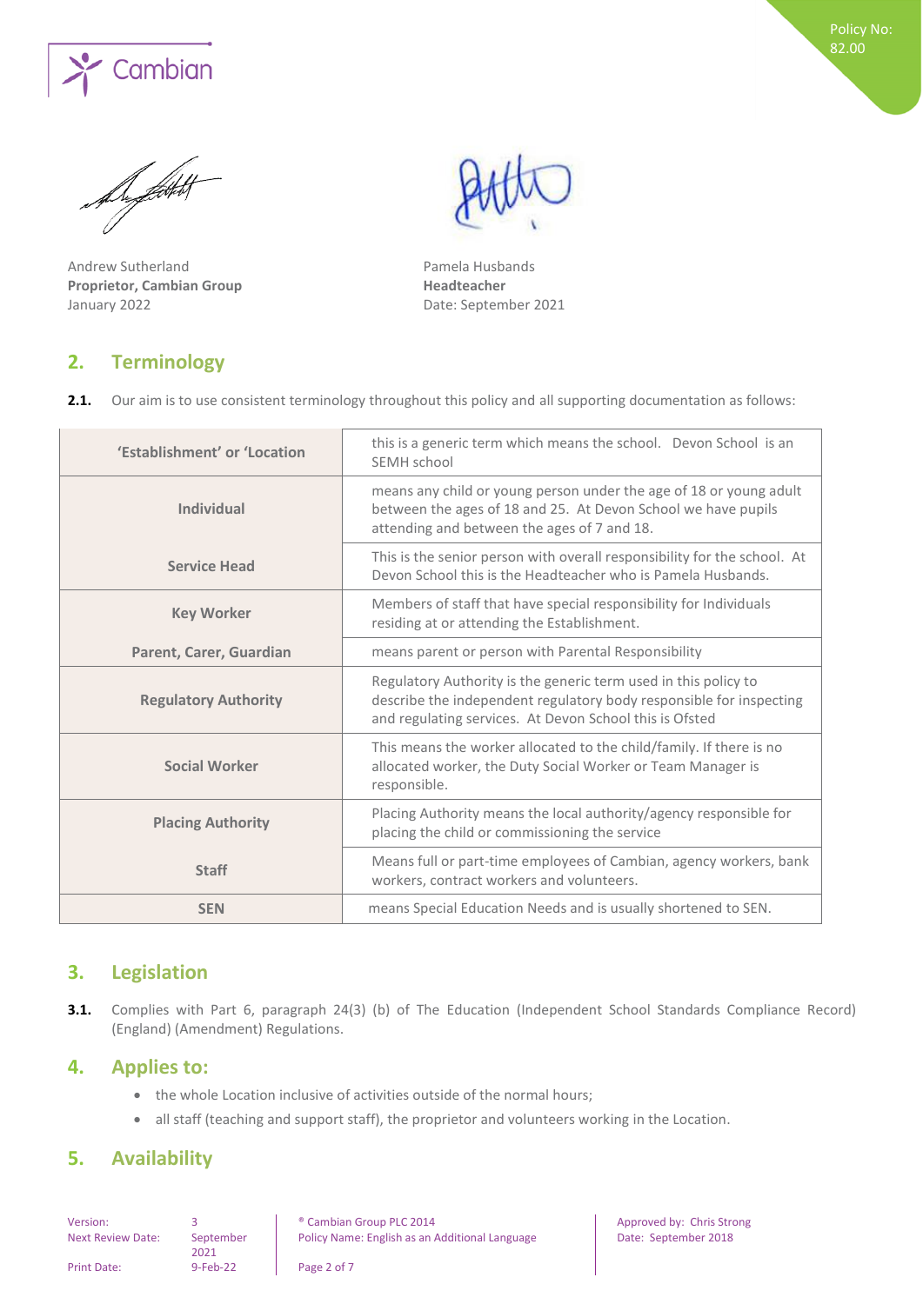

Angetok

Andrew Sutherland **Pamela Husbands Proprietor, Cambian Group Headteacher** January 2022 **Date: September 2021** 

<span id="page-1-0"></span>**2. Terminology** 

| 'Establishment' or 'Location | this is a generic term which means the school. Devon School is an<br>SEMH school                                                                                                                  |
|------------------------------|---------------------------------------------------------------------------------------------------------------------------------------------------------------------------------------------------|
| <b>Individual</b>            | means any child or young person under the age of 18 or young adult<br>between the ages of 18 and 25. At Devon School we have pupils<br>attending and between the ages of 7 and 18.                |
| <b>Service Head</b>          | This is the senior person with overall responsibility for the school. At<br>Devon School this is the Headteacher who is Pamela Husbands.                                                          |
| <b>Key Worker</b>            | Members of staff that have special responsibility for Individuals<br>residing at or attending the Establishment.                                                                                  |
| Parent, Carer, Guardian      | means parent or person with Parental Responsibility                                                                                                                                               |
| <b>Regulatory Authority</b>  | Regulatory Authority is the generic term used in this policy to<br>describe the independent regulatory body responsible for inspecting<br>and regulating services. At Devon School this is Ofsted |
| <b>Social Worker</b>         | This means the worker allocated to the child/family. If there is no<br>allocated worker, the Duty Social Worker or Team Manager is<br>responsible.                                                |
| <b>Placing Authority</b>     | Placing Authority means the local authority/agency responsible for<br>placing the child or commissioning the service                                                                              |
| <b>Staff</b>                 | Means full or part-time employees of Cambian, agency workers, bank<br>workers, contract workers and volunteers.                                                                                   |
| <b>SEN</b>                   | means Special Education Needs and is usually shortened to SEN.                                                                                                                                    |

# <span id="page-1-1"></span>**3. Legislation**

**3.1.** Complies with Part 6, paragraph 24(3) (b) of The Education (Independent School Standards Compliance Record) (England) (Amendment) Regulations.

# <span id="page-1-2"></span>**4. Applies to:**

- the whole Location inclusive of activities outside of the normal hours;
- <span id="page-1-3"></span>• all staff (teaching and support staff), the proprietor and volunteers working in the Location.

# **5. Availability**

Next Review Date: September

2021

Version: 3 8 8 9 3 8 9 2014 **Cambian Group PLC 2014** Approved by: Chris Strong Policy Name: English as an Additional Language Date: September 2018

Print Date: 9-Feb-22 Page 2 of 7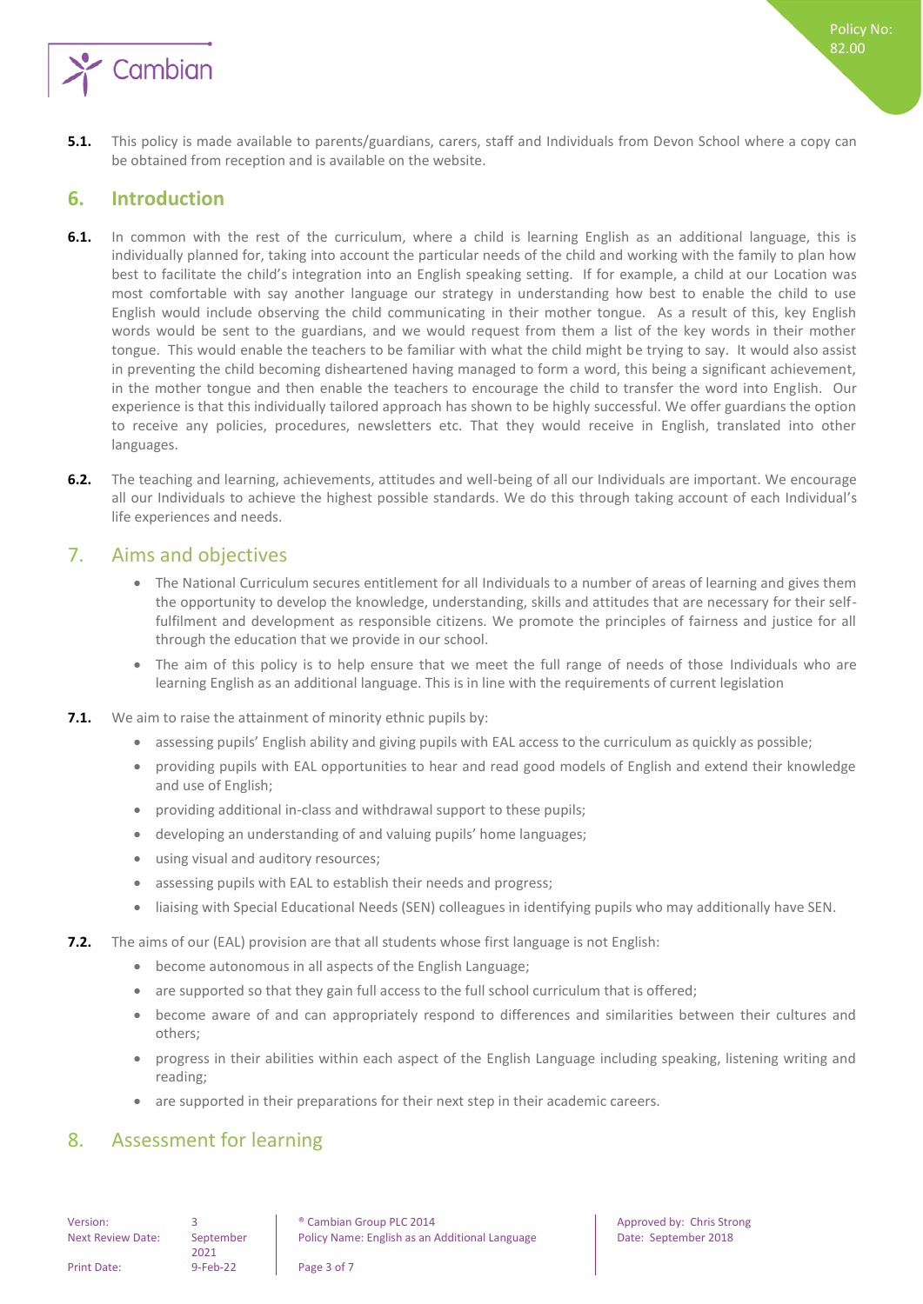

**5.1.** This policy is made available to parents/guardians, carers, staff and Individuals from Devon School where a copy can be obtained from reception and is available on the website.

# <span id="page-2-0"></span>**6. Introduction**

- **6.1.** In common with the rest of the curriculum, where a child is learning English as an additional language, this is individually planned for, taking into account the particular needs of the child and working with the family to plan how best to facilitate the child's integration into an English speaking setting. If for example, a child at our Location was most comfortable with say another language our strategy in understanding how best to enable the child to use English would include observing the child communicating in their mother tongue. As a result of this, key English words would be sent to the guardians, and we would request from them a list of the key words in their mother tongue. This would enable the teachers to be familiar with what the child might be trying to say. It would also assist in preventing the child becoming disheartened having managed to form a word, this being a significant achievement, in the mother tongue and then enable the teachers to encourage the child to transfer the word into English. Our experience is that this individually tailored approach has shown to be highly successful. We offer guardians the option to receive any policies, procedures, newsletters etc. That they would receive in English, translated into other languages.
- **6.2.** The teaching and learning, achievements, attitudes and well-being of all our Individuals are important. We encourage all our Individuals to achieve the highest possible standards. We do this through taking account of each Individual's life experiences and needs.

# <span id="page-2-1"></span>7. Aims and objectives

- The National Curriculum secures entitlement for all Individuals to a number of areas of learning and gives them the opportunity to develop the knowledge, understanding, skills and attitudes that are necessary for their selffulfilment and development as responsible citizens. We promote the principles of fairness and justice for all through the education that we provide in our school.
- The aim of this policy is to help ensure that we meet the full range of needs of those Individuals who are learning English as an additional language. This is in line with the requirements of current legislation
- **7.1.** We aim to raise the attainment of minority ethnic pupils by:
	- assessing pupils' English ability and giving pupils with EAL access to the curriculum as quickly as possible;
	- providing pupils with EAL opportunities to hear and read good models of English and extend their knowledge and use of English;
	- providing additional in-class and withdrawal support to these pupils;
	- developing an understanding of and valuing pupils' home languages;
	- using visual and auditory resources;
	- assessing pupils with EAL to establish their needs and progress;
	- liaising with Special Educational Needs (SEN) colleagues in identifying pupils who may additionally have SEN.
- **7.2.** The aims of our (EAL) provision are that all students whose first language is not English:
	- become autonomous in all aspects of the English Language;
	- are supported so that they gain full access to the full school curriculum that is offered;
	- become aware of and can appropriately respond to differences and similarities between their cultures and others;
	- progress in their abilities within each aspect of the English Language including speaking, listening writing and reading;
	- are supported in their preparations for their next step in their academic careers.

# <span id="page-2-2"></span>8. Assessment for learning

Next Review Date: September

2021

Policy No: 82.00

Print Date: 9-Feb-22 Page 3 of 7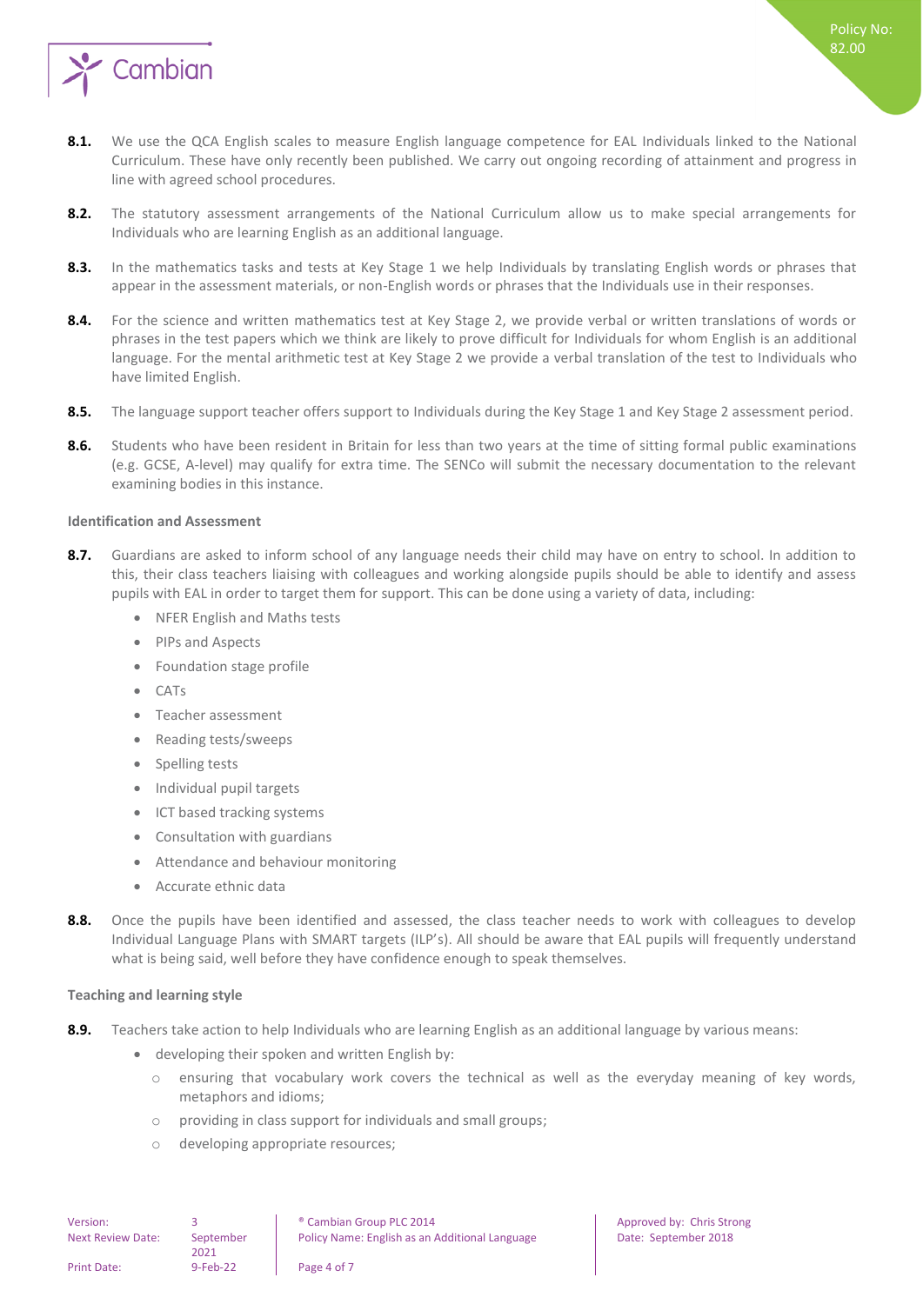

- 8.1. We use the QCA English scales to measure English language competence for EAL Individuals linked to the National Curriculum. These have only recently been published. We carry out ongoing recording of attainment and progress in line with agreed school procedures.
- **8.2.** The statutory assessment arrangements of the National Curriculum allow us to make special arrangements for Individuals who are learning English as an additional language.
- **8.3.** In the mathematics tasks and tests at Key Stage 1 we help Individuals by translating English words or phrases that appear in the assessment materials, or non-English words or phrases that the Individuals use in their responses.
- 8.4. For the science and written mathematics test at Key Stage 2, we provide verbal or written translations of words or phrases in the test papers which we think are likely to prove difficult for Individuals for whom English is an additional language. For the mental arithmetic test at Key Stage 2 we provide a verbal translation of the test to Individuals who have limited English.
- **8.5.** The language support teacher offers support to Individuals during the Key Stage 1 and Key Stage 2 assessment period.
- 8.6. Students who have been resident in Britain for less than two years at the time of sitting formal public examinations (e.g. GCSE, A-level) may qualify for extra time. The SENCo will submit the necessary documentation to the relevant examining bodies in this instance.

#### <span id="page-3-0"></span>**Identification and Assessment**

- **8.7.** Guardians are asked to inform school of any language needs their child may have on entry to school. In addition to this, their class teachers liaising with colleagues and working alongside pupils should be able to identify and assess pupils with EAL in order to target them for support. This can be done using a variety of data, including:
	- NFER English and Maths tests
	- PIPs and Aspects
	- Foundation stage profile
	- CATs
	- Teacher assessment
	- Reading tests/sweeps
	- Spelling tests
	- Individual pupil targets
	- ICT based tracking systems
	- Consultation with guardians
	- Attendance and behaviour monitoring
	- Accurate ethnic data
- **8.8.** Once the pupils have been identified and assessed, the class teacher needs to work with colleagues to develop Individual Language Plans with SMART targets (ILP's). All should be aware that EAL pupils will frequently understand what is being said, well before they have confidence enough to speak themselves.

#### <span id="page-3-1"></span>**Teaching and learning style**

- **8.9.** Teachers take action to help Individuals who are learning English as an additional language by various means:
	- developing their spoken and written English by:
		- o ensuring that vocabulary work covers the technical as well as the everyday meaning of key words, metaphors and idioms;
		- o providing in class support for individuals and small groups;
		- o developing appropriate resources;

| Version:                 |                   | <sup>®</sup> Cambian Group PLC 2014            |
|--------------------------|-------------------|------------------------------------------------|
| <b>Next Review Date:</b> | September<br>2021 | Policy Name: English as an Additional Language |
| Print Date:              | $9 - Feb - 22$    | Page 4 of 7                                    |

Approved by: Chris Strong Policy Name: September 2018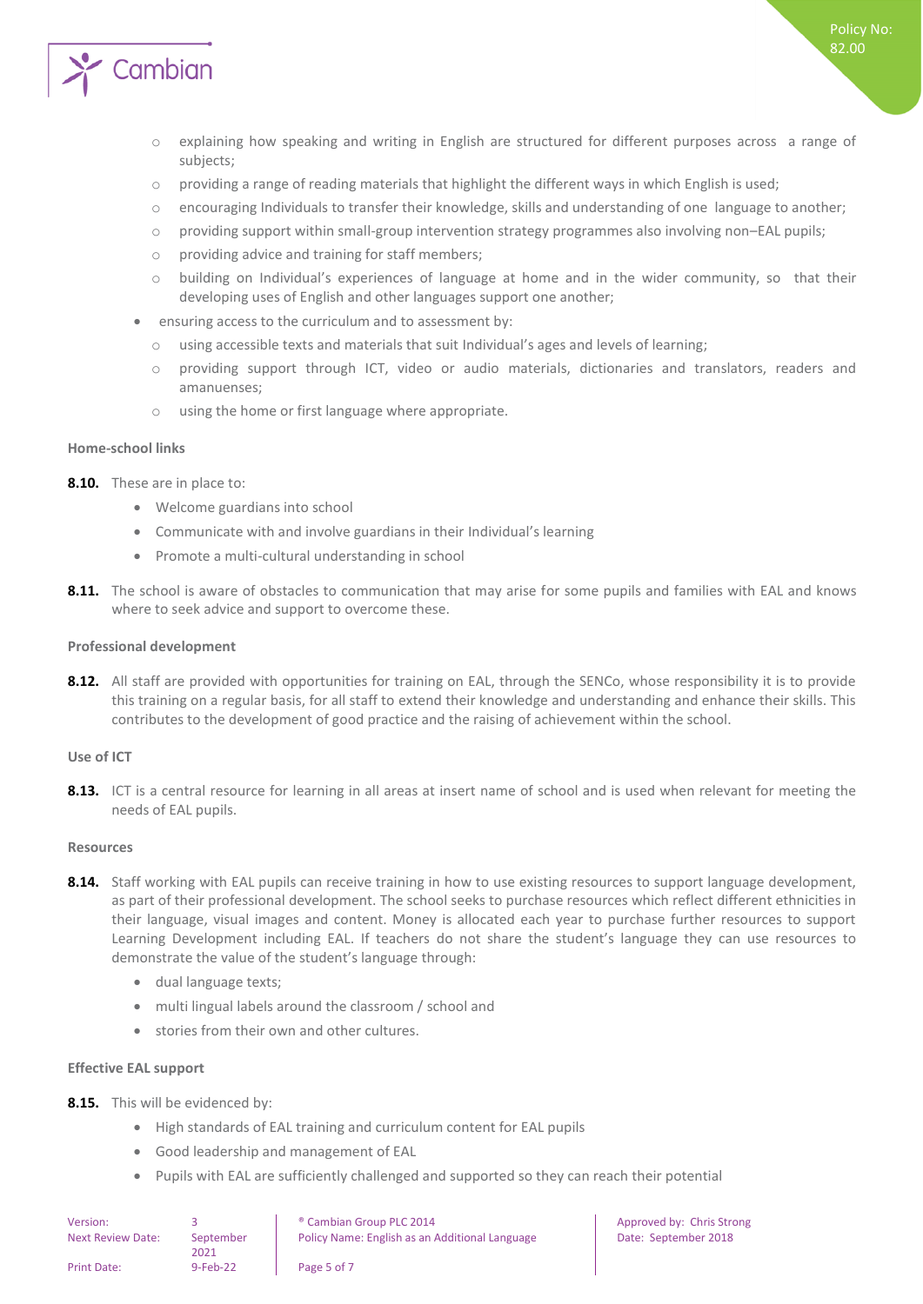

o explaining how speaking and writing in English are structured for different purposes across a range of subjects;

Policy No: 82.00

- o providing a range of reading materials that highlight the different ways in which English is used;
- o encouraging Individuals to transfer their knowledge, skills and understanding of one language to another;
- $\circ$  providing support within small-group intervention strategy programmes also involving non–EAL pupils;
- o providing advice and training for staff members;
- o building on Individual's experiences of language at home and in the wider community, so that their developing uses of English and other languages support one another;
- ensuring access to the curriculum and to assessment by:
	- o using accessible texts and materials that suit Individual's ages and levels of learning;
	- providing support through ICT, video or audio materials, dictionaries and translators, readers and amanuenses;
	- o using the home or first language where appropriate.

#### <span id="page-4-0"></span>**Home-school links**

- **8.10.** These are in place to:
	- Welcome guardians into school
	- Communicate with and involve guardians in their Individual's learning
	- Promote a multi-cultural understanding in school
- **8.11.** The school is aware of obstacles to communication that may arise for some pupils and families with EAL and knows where to seek advice and support to overcome these.

### <span id="page-4-1"></span>**Professional development**

**8.12.** All staff are provided with opportunities for training on EAL, through the SENCo, whose responsibility it is to provide this training on a regular basis, for all staff to extend their knowledge and understanding and enhance their skills. This contributes to the development of good practice and the raising of achievement within the school.

### <span id="page-4-2"></span>**Use of ICT**

**8.13.** ICT is a central resource for learning in all areas at insert name of school and is used when relevant for meeting the needs of EAL pupils.

#### <span id="page-4-3"></span>**Resources**

- **8.14.** Staff working with EAL pupils can receive training in how to use existing resources to support language development, as part of their professional development. The school seeks to purchase resources which reflect different ethnicities in their language, visual images and content. Money is allocated each year to purchase further resources to support Learning Development including EAL. If teachers do not share the student's language they can use resources to demonstrate the value of the student's language through:
	- dual language texts;
	- multi lingual labels around the classroom / school and
	- stories from their own and other cultures.

### <span id="page-4-4"></span>**Effective EAL support**

**8.15.** This will be evidenced by:

- High standards of EAL training and curriculum content for EAL pupils
- Good leadership and management of EAL
- Pupils with EAL are sufficiently challenged and supported so they can reach their potential

| Version:                 |                   | <sup>®</sup> Cambian Group PLC 2014            |
|--------------------------|-------------------|------------------------------------------------|
| <b>Next Review Date:</b> | September<br>2021 | Policy Name: English as an Additional Language |
| Print Date:              | $9-Feb-22$        | Page 5 of 7                                    |

Approved by: Chris Strong Date: September 2018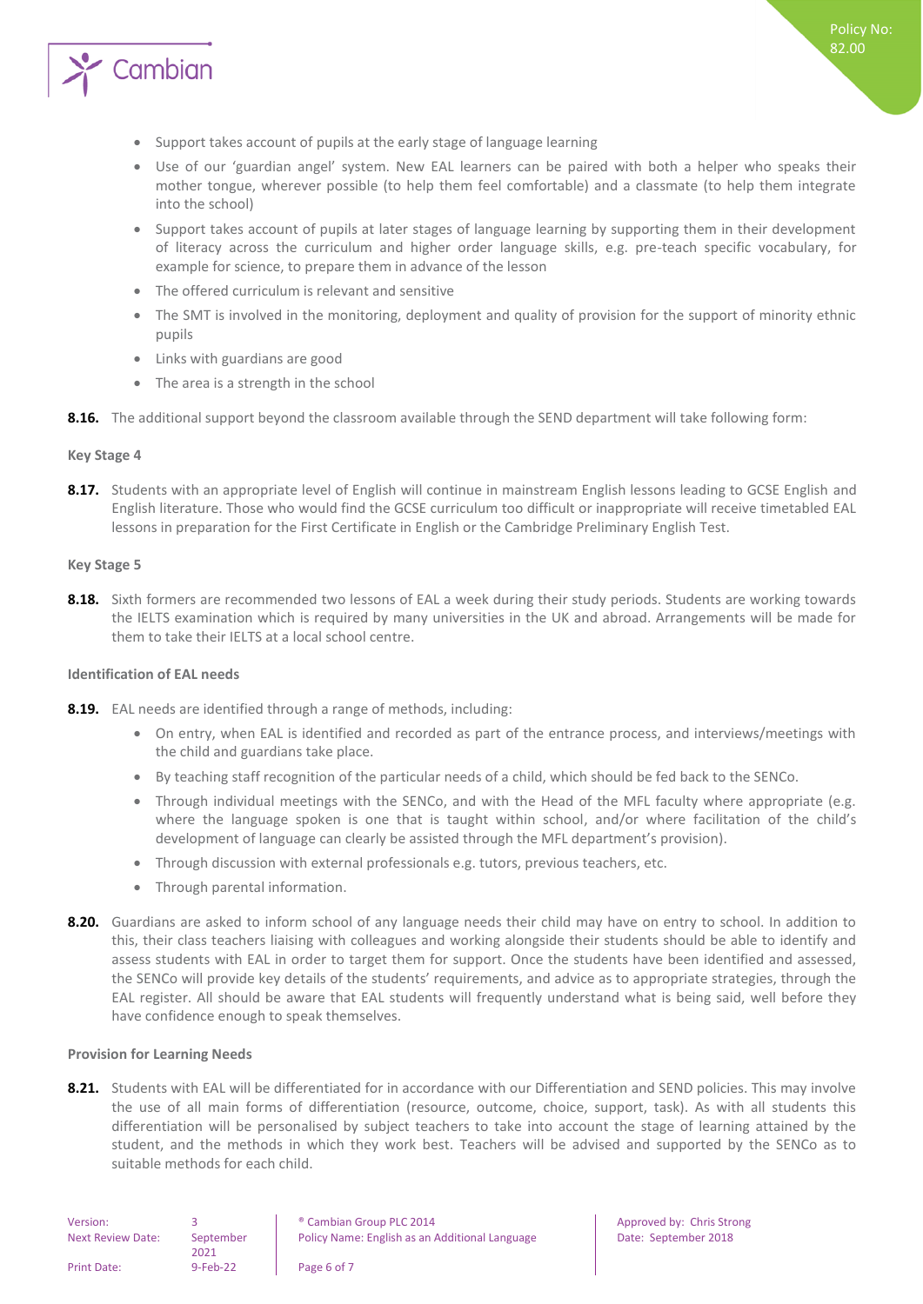

- Support takes account of pupils at the early stage of language learning
- Use of our 'guardian angel' system. New EAL learners can be paired with both a helper who speaks their mother tongue, wherever possible (to help them feel comfortable) and a classmate (to help them integrate into the school)
- Support takes account of pupils at later stages of language learning by supporting them in their development of literacy across the curriculum and higher order language skills, e.g. pre-teach specific vocabulary, for example for science, to prepare them in advance of the lesson
- The offered curriculum is relevant and sensitive
- The SMT is involved in the monitoring, deployment and quality of provision for the support of minority ethnic pupils
- Links with guardians are good
- The area is a strength in the school
- <span id="page-5-0"></span>**8.16.** The additional support beyond the classroom available through the SEND department will take following form:

#### **Key Stage 4**

**8.17.** Students with an appropriate level of English will continue in mainstream English lessons leading to GCSE English and English literature. Those who would find the GCSE curriculum too difficult or inappropriate will receive timetabled EAL lessons in preparation for the First Certificate in English or the Cambridge Preliminary English Test.

#### <span id="page-5-1"></span>**Key Stage 5**

**8.18.** Sixth formers are recommended two lessons of EAL a week during their study periods. Students are working towards the IELTS examination which is required by many universities in the UK and abroad. Arrangements will be made for them to take their IELTS at a local school centre.

#### <span id="page-5-2"></span>**Identification of EAL needs**

- **8.19.** EAL needs are identified through a range of methods, including:
	- On entry, when EAL is identified and recorded as part of the entrance process, and interviews/meetings with the child and guardians take place.
	- By teaching staff recognition of the particular needs of a child, which should be fed back to the SENCo.
	- Through individual meetings with the SENCo, and with the Head of the MFL faculty where appropriate (e.g. where the language spoken is one that is taught within school, and/or where facilitation of the child's development of language can clearly be assisted through the MFL department's provision).
	- Through discussion with external professionals e.g. tutors, previous teachers, etc.
	- Through parental information.
- **8.20.** Guardians are asked to inform school of any language needs their child may have on entry to school. In addition to this, their class teachers liaising with colleagues and working alongside their students should be able to identify and assess students with EAL in order to target them for support. Once the students have been identified and assessed, the SENCo will provide key details of the students' requirements, and advice as to appropriate strategies, through the EAL register. All should be aware that EAL students will frequently understand what is being said, well before they have confidence enough to speak themselves.

#### <span id="page-5-3"></span>**Provision for Learning Needs**

**8.21.** Students with EAL will be differentiated for in accordance with our Differentiation and SEND policies. This may involve the use of all main forms of differentiation (resource, outcome, choice, support, task). As with all students this differentiation will be personalised by subject teachers to take into account the stage of learning attained by the student, and the methods in which they work best. Teachers will be advised and supported by the SENCo as to suitable methods for each child.

Approved by: Chris Strong

Date: September 2018

| Version:                 |                   | <sup>®</sup> Cambian Group PLC 2014            |
|--------------------------|-------------------|------------------------------------------------|
| <b>Next Review Date:</b> | September<br>2021 | Policy Name: English as an Additional Language |
| Print Date:              | $9 - Feb - 22$    | Page 6 of 7                                    |